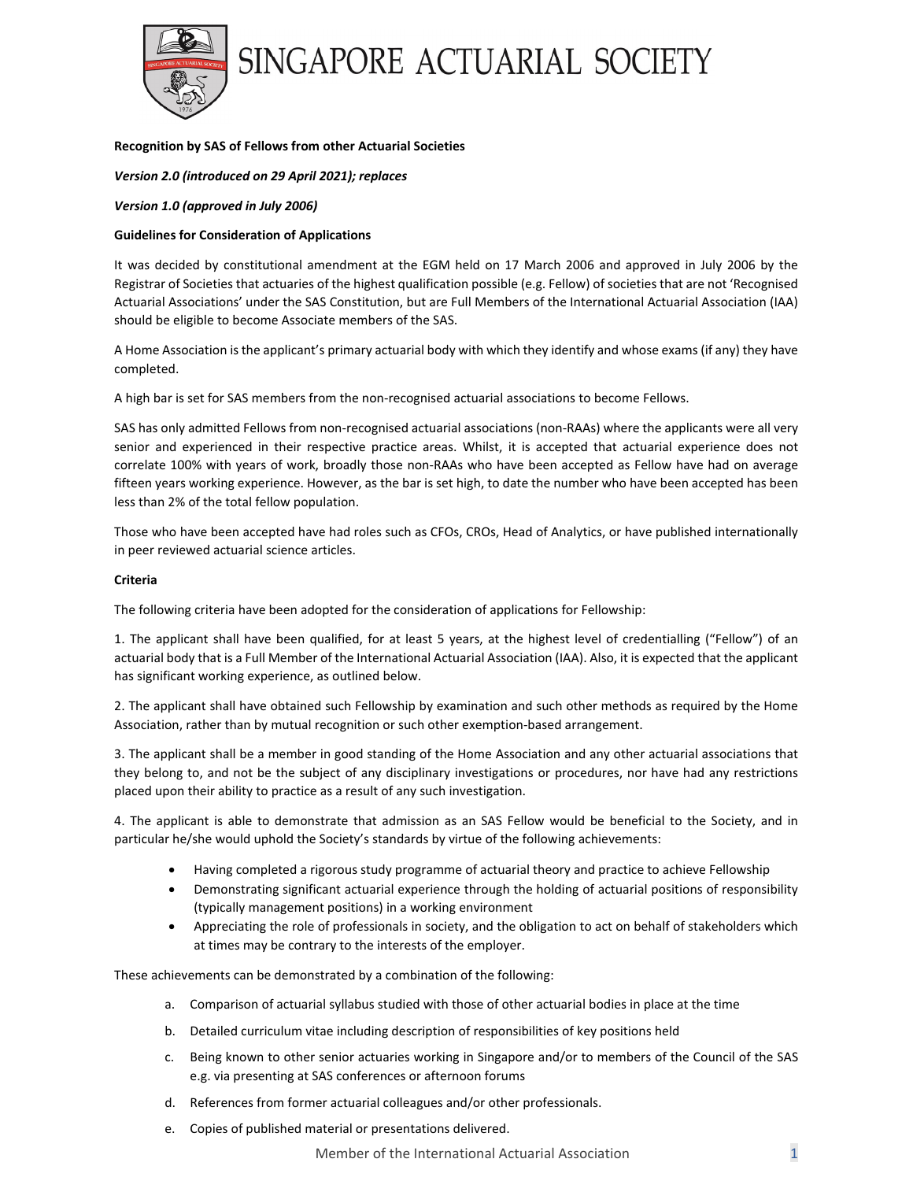

## **Recognition by SAS of Fellows from other Actuarial Societies**

### *Version 2.0 (introduced on 29 April 2021); replaces*

### *Version 1.0 (approved in July 2006)*

### **Guidelines for Consideration of Applications**

It was decided by constitutional amendment at the EGM held on 17 March 2006 and approved in July 2006 by the Registrar of Societies that actuaries of the highest qualification possible (e.g. Fellow) of societies that are not 'Recognised Actuarial Associations' under the SAS Constitution, but are Full Members of the International Actuarial Association (IAA) should be eligible to become Associate members of the SAS.

A Home Association isthe applicant's primary actuarial body with which they identify and whose exams (if any) they have completed.

A high bar is set for SAS members from the non‐recognised actuarial associations to become Fellows.

SAS has only admitted Fellows from non-recognised actuarial associations (non-RAAs) where the applicants were all very senior and experienced in their respective practice areas. Whilst, it is accepted that actuarial experience does not correlate 100% with years of work, broadly those non‐RAAs who have been accepted as Fellow have had on average fifteen years working experience. However, as the bar is set high, to date the number who have been accepted has been less than 2% of the total fellow population.

Those who have been accepted have had roles such as CFOs, CROs, Head of Analytics, or have published internationally in peer reviewed actuarial science articles.

#### **Criteria**

The following criteria have been adopted for the consideration of applications for Fellowship:

1. The applicant shall have been qualified, for at least 5 years, at the highest level of credentialling ("Fellow") of an actuarial body that is a Full Member of the International Actuarial Association (IAA). Also, it is expected that the applicant has significant working experience, as outlined below.

2. The applicant shall have obtained such Fellowship by examination and such other methods as required by the Home Association, rather than by mutual recognition or such other exemption‐based arrangement.

3. The applicant shall be a member in good standing of the Home Association and any other actuarial associations that they belong to, and not be the subject of any disciplinary investigations or procedures, nor have had any restrictions placed upon their ability to practice as a result of any such investigation.

4. The applicant is able to demonstrate that admission as an SAS Fellow would be beneficial to the Society, and in particular he/she would uphold the Society's standards by virtue of the following achievements:

- Having completed a rigorous study programme of actuarial theory and practice to achieve Fellowship
- Demonstrating significant actuarial experience through the holding of actuarial positions of responsibility (typically management positions) in a working environment
- Appreciating the role of professionals in society, and the obligation to act on behalf of stakeholders which at times may be contrary to the interests of the employer.

These achievements can be demonstrated by a combination of the following:

- a. Comparison of actuarial syllabus studied with those of other actuarial bodies in place at the time
- b. Detailed curriculum vitae including description of responsibilities of key positions held
- c. Being known to other senior actuaries working in Singapore and/or to members of the Council of the SAS e.g. via presenting at SAS conferences or afternoon forums
- d. References from former actuarial colleagues and/or other professionals.
- e. Copies of published material or presentations delivered.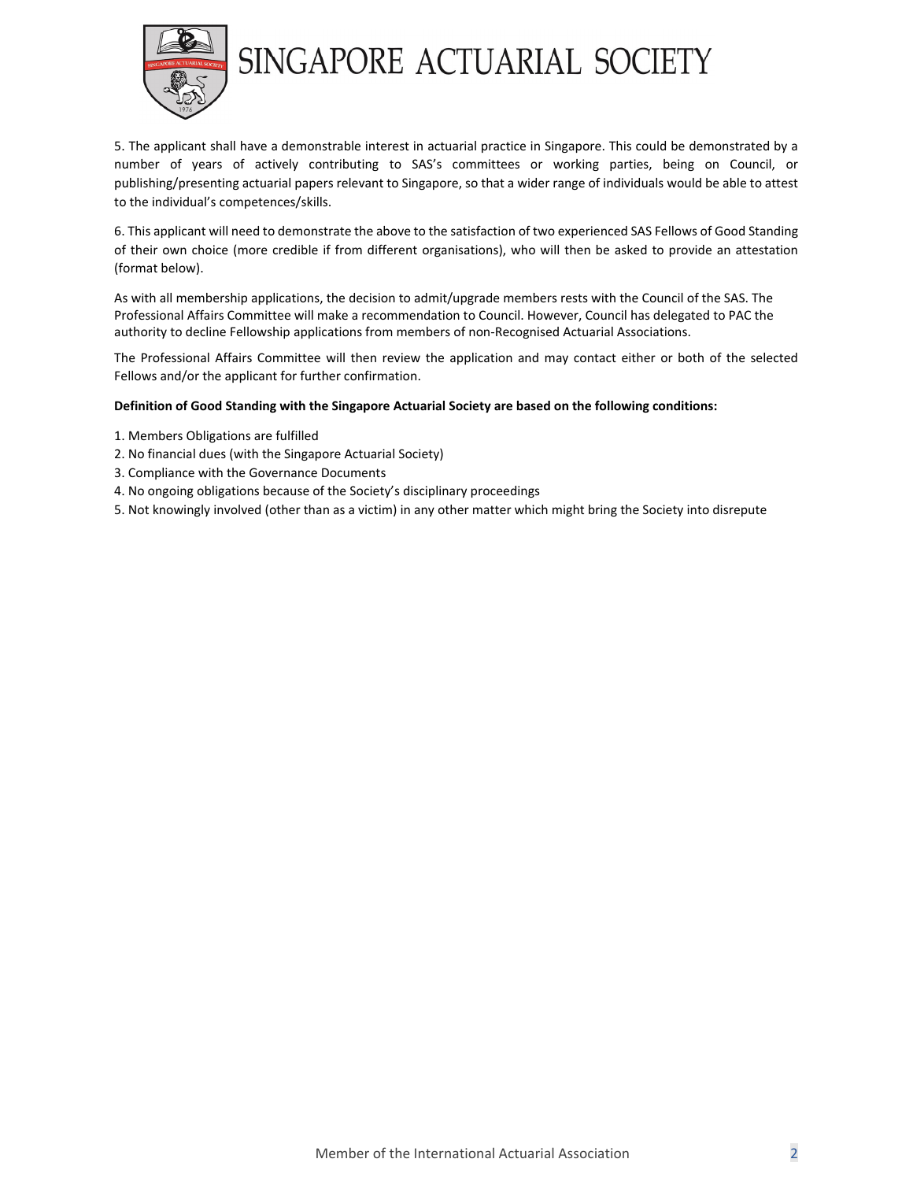

5. The applicant shall have a demonstrable interest in actuarial practice in Singapore. This could be demonstrated by a number of years of actively contributing to SAS's committees or working parties, being on Council, or publishing/presenting actuarial papers relevant to Singapore, so that a wider range of individuals would be able to attest to the individual's competences/skills.

6. This applicant will need to demonstrate the above to the satisfaction of two experienced SAS Fellows of Good Standing of their own choice (more credible if from different organisations), who will then be asked to provide an attestation (format below).

As with all membership applications, the decision to admit/upgrade members rests with the Council of the SAS. The Professional Affairs Committee will make a recommendation to Council. However, Council has delegated to PAC the authority to decline Fellowship applications from members of non-Recognised Actuarial Associations.

The Professional Affairs Committee will then review the application and may contact either or both of the selected Fellows and/or the applicant for further confirmation.

## **Definition of Good Standing with the Singapore Actuarial Society are based on the following conditions:**

- 1. Members Obligations are fulfilled
- 2. No financial dues (with the Singapore Actuarial Society)
- 3. Compliance with the Governance Documents
- 4. No ongoing obligations because of the Society's disciplinary proceedings
- 5. Not knowingly involved (other than as a victim) in any other matter which might bring the Society into disrepute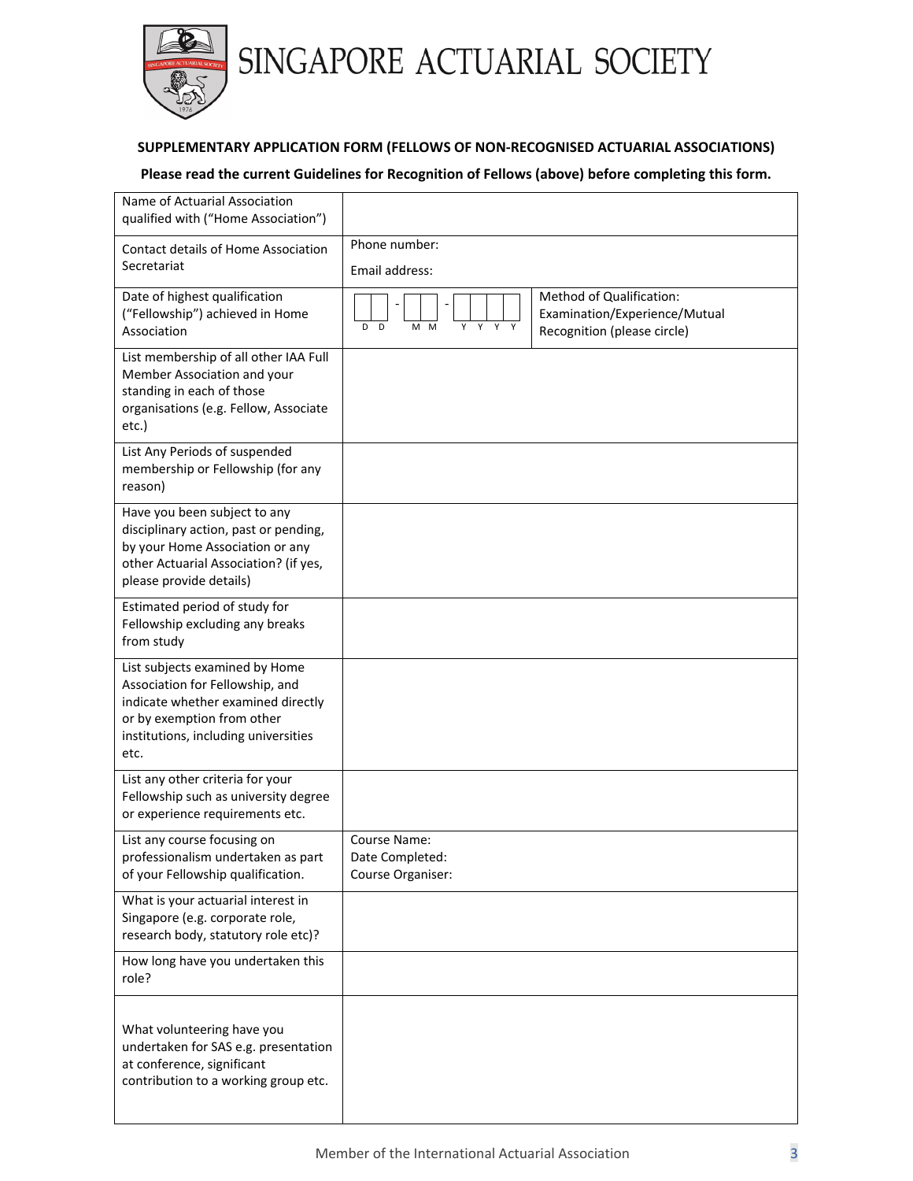

# **SUPPLEMENTARY APPLICATION FORM (FELLOWS OF NON‐RECOGNISED ACTUARIAL ASSOCIATIONS)**

# **Please read the current Guidelines for Recognition of Fellows (above) before completing this form.**

| Name of Actuarial Association<br>qualified with ("Home Association")                                                                                                                  |                                                      |                                                                                          |
|---------------------------------------------------------------------------------------------------------------------------------------------------------------------------------------|------------------------------------------------------|------------------------------------------------------------------------------------------|
| Contact details of Home Association                                                                                                                                                   | Phone number:                                        |                                                                                          |
| Secretariat                                                                                                                                                                           | Email address:                                       |                                                                                          |
| Date of highest qualification<br>("Fellowship") achieved in Home<br>Association                                                                                                       | Y<br>Y<br>D<br>$\Box$<br>M<br>M<br>Y<br>Y            | Method of Qualification:<br>Examination/Experience/Mutual<br>Recognition (please circle) |
| List membership of all other IAA Full<br>Member Association and your<br>standing in each of those<br>organisations (e.g. Fellow, Associate<br>etc.)                                   |                                                      |                                                                                          |
| List Any Periods of suspended<br>membership or Fellowship (for any<br>reason)                                                                                                         |                                                      |                                                                                          |
| Have you been subject to any<br>disciplinary action, past or pending,<br>by your Home Association or any<br>other Actuarial Association? (if yes,<br>please provide details)          |                                                      |                                                                                          |
| Estimated period of study for<br>Fellowship excluding any breaks<br>from study                                                                                                        |                                                      |                                                                                          |
| List subjects examined by Home<br>Association for Fellowship, and<br>indicate whether examined directly<br>or by exemption from other<br>institutions, including universities<br>etc. |                                                      |                                                                                          |
| List any other criteria for your<br>Fellowship such as university degree<br>or experience requirements etc.                                                                           |                                                      |                                                                                          |
| List any course focusing on<br>professionalism undertaken as part<br>of your Fellowship qualification.                                                                                | Course Name:<br>Date Completed:<br>Course Organiser: |                                                                                          |
| What is your actuarial interest in<br>Singapore (e.g. corporate role,<br>research body, statutory role etc)?                                                                          |                                                      |                                                                                          |
| How long have you undertaken this<br>role?                                                                                                                                            |                                                      |                                                                                          |
| What volunteering have you<br>undertaken for SAS e.g. presentation<br>at conference, significant<br>contribution to a working group etc.                                              |                                                      |                                                                                          |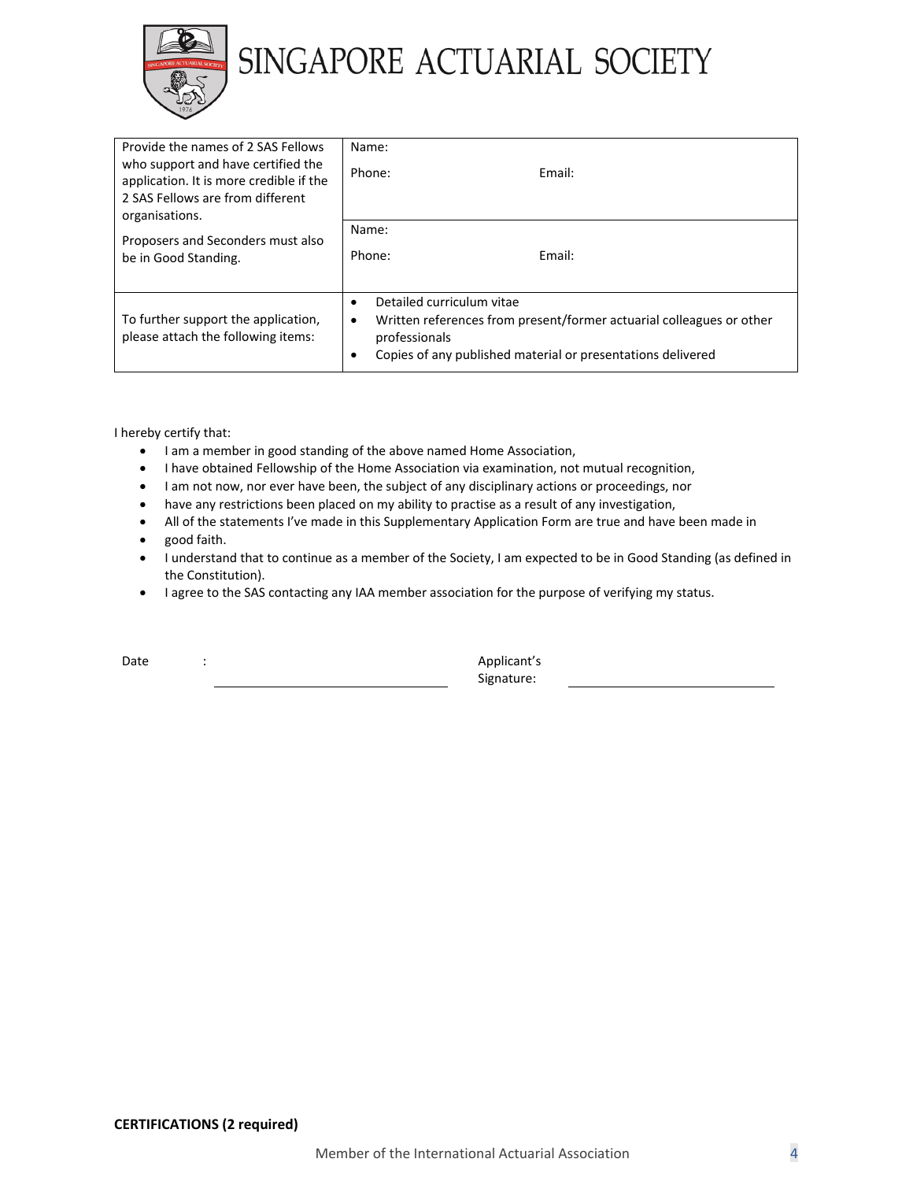

| Provide the names of 2 SAS Fellows<br>who support and have certified the<br>application. It is more credible if the<br>2 SAS Fellows are from different<br>organisations. | Name:<br>Phone:                                                                                                                                                                                                  | Email: |
|---------------------------------------------------------------------------------------------------------------------------------------------------------------------------|------------------------------------------------------------------------------------------------------------------------------------------------------------------------------------------------------------------|--------|
| Proposers and Seconders must also<br>be in Good Standing.                                                                                                                 | Name:<br>Phone:                                                                                                                                                                                                  | Email: |
| To further support the application,<br>please attach the following items:                                                                                                 | Detailed curriculum vitae<br>$\bullet$<br>Written references from present/former actuarial colleagues or other<br>$\bullet$<br>professionals<br>Copies of any published material or presentations delivered<br>٠ |        |

I hereby certify that:

- I am a member in good standing of the above named Home Association,
- I have obtained Fellowship of the Home Association via examination, not mutual recognition,
- I am not now, nor ever have been, the subject of any disciplinary actions or proceedings, nor
- have any restrictions been placed on my ability to practise as a result of any investigation,
- All of the statements I've made in this Supplementary Application Form are true and have been made in
- good faith.
- I understand that to continue as a member of the Society, I am expected to be in Good Standing (as defined in the Constitution).
- I agree to the SAS contacting any IAA member association for the purpose of verifying my status.

| ۰.<br><br>۰,<br>×<br>٠<br>×<br>× |
|----------------------------------|
|----------------------------------|

determines the contract of the contract of the Applicant's Signature: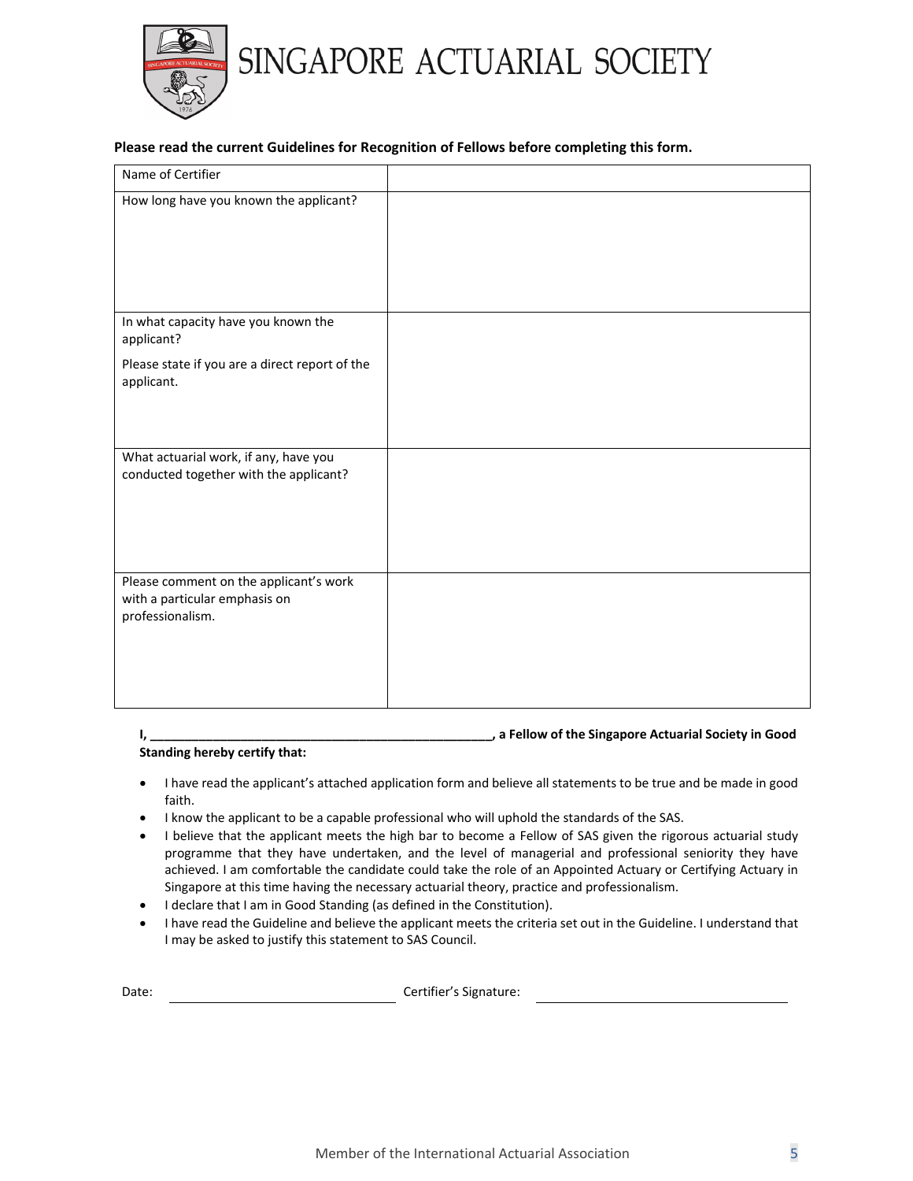

# **Please read the current Guidelines for Recognition of Fellows before completing this form.**

| Name of Certifier                                                                           |  |
|---------------------------------------------------------------------------------------------|--|
| How long have you known the applicant?                                                      |  |
| In what capacity have you known the<br>applicant?                                           |  |
| Please state if you are a direct report of the<br>applicant.                                |  |
| What actuarial work, if any, have you<br>conducted together with the applicant?             |  |
| Please comment on the applicant's work<br>with a particular emphasis on<br>professionalism. |  |

## **I, \_\_\_\_\_\_\_\_\_\_\_\_\_\_\_\_\_\_\_\_\_\_\_\_\_\_\_\_\_\_\_\_\_\_\_\_\_\_\_\_\_\_\_\_\_\_\_\_\_, a Fellow of the Singapore Actuarial Society in Good**

### **Standing hereby certify that:**

- I have read the applicant's attached application form and believe all statements to be true and be made in good faith.
- I know the applicant to be a capable professional who will uphold the standards of the SAS.
- I believe that the applicant meets the high bar to become a Fellow of SAS given the rigorous actuarial study programme that they have undertaken, and the level of managerial and professional seniority they have achieved. I am comfortable the candidate could take the role of an Appointed Actuary or Certifying Actuary in Singapore at this time having the necessary actuarial theory, practice and professionalism.
- I declare that I am in Good Standing (as defined in the Constitution).
- I have read the Guideline and believe the applicant meets the criteria set out in the Guideline. I understand that I may be asked to justify this statement to SAS Council.

Date: Certifier's Signature: